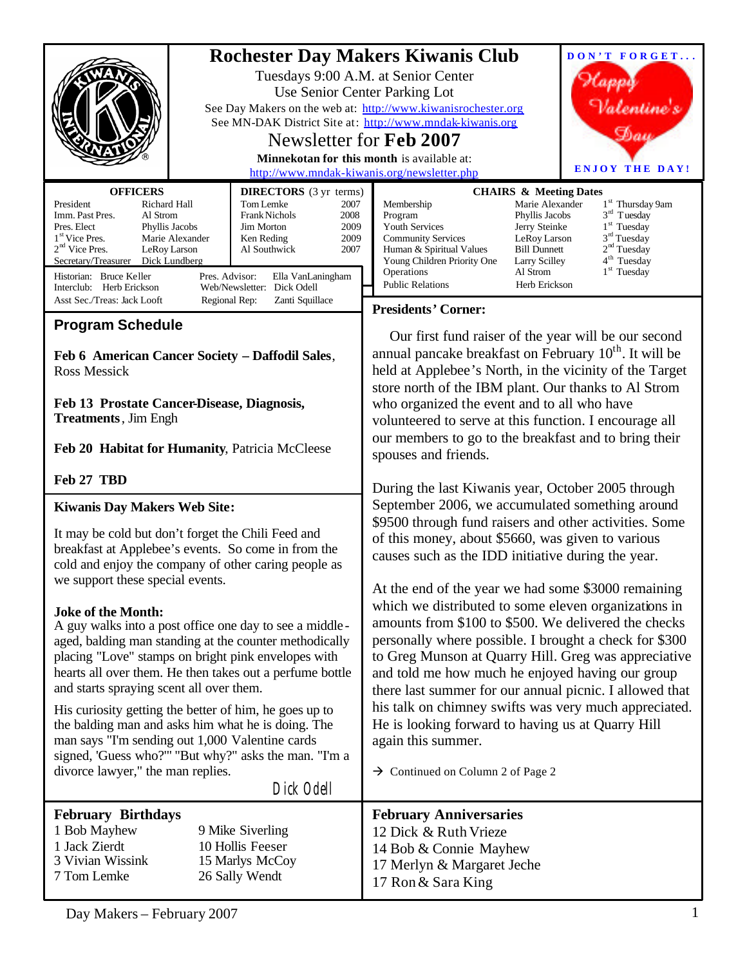| <b>OFFICERS</b>                                                                                                                                                                                                                                                                                                                                                                                                                                                                                                                                                                                                                                                                                                                                                                                                                | <b>DIRECTORS</b> (3 yr terms)                                                                                                                                                              | <b>Rochester Day Makers Kiwanis Club</b><br>Tuesdays 9:00 A.M. at Senior Center<br>Use Senior Center Parking Lot<br>See Day Makers on the web at: http://www.kiwanisrochester.org<br>See MN-DAK District Site at: http://www.mndak-kiwanis.org<br>Newsletter for Feb 2007<br>Minnekotan for this month is available at:<br>http://www.mndak-kiwanis.org/newsletter.php                                                                                                                                                                                                                                                                                                                                                                                                                                            | DON'T FORGET<br>Valentine's<br><b>ENJOY THE DAY!</b><br><b>CHAIRS &amp; Meeting Dates</b>                                                                                                                                                                                                         |
|--------------------------------------------------------------------------------------------------------------------------------------------------------------------------------------------------------------------------------------------------------------------------------------------------------------------------------------------------------------------------------------------------------------------------------------------------------------------------------------------------------------------------------------------------------------------------------------------------------------------------------------------------------------------------------------------------------------------------------------------------------------------------------------------------------------------------------|--------------------------------------------------------------------------------------------------------------------------------------------------------------------------------------------|-------------------------------------------------------------------------------------------------------------------------------------------------------------------------------------------------------------------------------------------------------------------------------------------------------------------------------------------------------------------------------------------------------------------------------------------------------------------------------------------------------------------------------------------------------------------------------------------------------------------------------------------------------------------------------------------------------------------------------------------------------------------------------------------------------------------|---------------------------------------------------------------------------------------------------------------------------------------------------------------------------------------------------------------------------------------------------------------------------------------------------|
| President<br>Richard Hall<br>Imm. Past Pres.<br>Al Strom<br>Pres. Elect<br>Phyllis Jacobs<br>1 <sup>st</sup> Vice Pres.<br>Marie Alexander<br>$2nd$ Vice Pres.<br>LeRoy Larson<br>Secretary/Treasurer<br>Dick Lundberg<br>Historian: Bruce Keller<br>Interclub: Herb Erickson                                                                                                                                                                                                                                                                                                                                                                                                                                                                                                                                                  | Tom Lemke<br>2007<br><b>Frank Nichols</b><br>2008<br>2009<br>Jim Morton<br>2009<br>Ken Reding<br>Al Southwick<br>2007<br>Pres. Advisor:<br>Ella VanLaningham<br>Web/Newsletter: Dick Odell | Membership<br>Program<br>Youth Services<br><b>Community Services</b><br>Human & Spiritual Values<br>Young Children Priority One<br>Operations<br><b>Public Relations</b>                                                                                                                                                                                                                                                                                                                                                                                                                                                                                                                                                                                                                                          | Marie Alexander<br>1 <sup>st</sup> Thursday 9am<br>$3rd$ Tuesday<br>Phyllis Jacobs<br>$1st$ Tuesday<br>Jerry Steinke<br>$3rd$ Tuesday<br>LeRoy Larson<br>2 <sup>nd</sup> Tuesday<br><b>Bill Dunnett</b><br>4 <sup>th</sup> Tuesday<br>Larry Scilley<br>$1st$ Tuesday<br>Al Strom<br>Herb Erickson |
| Asst Sec./Treas: Jack Looft<br>Regional Rep:<br>Zanti Squillace                                                                                                                                                                                                                                                                                                                                                                                                                                                                                                                                                                                                                                                                                                                                                                |                                                                                                                                                                                            | <b>Presidents' Corner:</b>                                                                                                                                                                                                                                                                                                                                                                                                                                                                                                                                                                                                                                                                                                                                                                                        |                                                                                                                                                                                                                                                                                                   |
| <b>Program Schedule</b><br>Feb 6 American Cancer Society - Daffodil Sales,<br><b>Ross Messick</b><br>Feb 13 Prostate Cancer-Disease, Diagnosis,<br><b>Treatments</b> , Jim Engh<br>Feb 20 Habitat for Humanity, Patricia McCleese                                                                                                                                                                                                                                                                                                                                                                                                                                                                                                                                                                                              |                                                                                                                                                                                            | Our first fund raiser of the year will be our second<br>annual pancake breakfast on February 10 <sup>th</sup> . It will be<br>held at Applebee's North, in the vicinity of the Target<br>store north of the IBM plant. Our thanks to Al Strom<br>who organized the event and to all who have<br>volunteered to serve at this function. I encourage all<br>our members to go to the breakfast and to bring their<br>spouses and friends.                                                                                                                                                                                                                                                                                                                                                                           |                                                                                                                                                                                                                                                                                                   |
| Feb 27 TBD                                                                                                                                                                                                                                                                                                                                                                                                                                                                                                                                                                                                                                                                                                                                                                                                                     |                                                                                                                                                                                            | During the last Kiwanis year, October 2005 through                                                                                                                                                                                                                                                                                                                                                                                                                                                                                                                                                                                                                                                                                                                                                                |                                                                                                                                                                                                                                                                                                   |
| <b>Kiwanis Day Makers Web Site:</b><br>It may be cold but don't forget the Chili Feed and<br>breakfast at Applebee's events. So come in from the<br>cold and enjoy the company of other caring people as<br>we support these special events.<br><b>Joke of the Month:</b><br>A guy walks into a post office one day to see a middle-<br>aged, balding man standing at the counter methodically<br>placing "Love" stamps on bright pink envelopes with<br>hearts all over them. He then takes out a perfume bottle<br>and starts spraying scent all over them.<br>His curiosity getting the better of him, he goes up to<br>the balding man and asks him what he is doing. The<br>man says "I'm sending out 1,000 Valentine cards<br>signed, 'Guess who?'" "But why?" asks the man. "I'm a<br>divorce lawyer," the man replies. |                                                                                                                                                                                            | September 2006, we accumulated something around<br>\$9500 through fund raisers and other activities. Some<br>of this money, about \$5660, was given to various<br>causes such as the IDD initiative during the year.<br>At the end of the year we had some \$3000 remaining<br>which we distributed to some eleven organizations in<br>amounts from \$100 to \$500. We delivered the checks<br>personally where possible. I brought a check for \$300<br>to Greg Munson at Quarry Hill. Greg was appreciative<br>and told me how much he enjoyed having our group<br>there last summer for our annual picnic. I allowed that<br>his talk on chimney swifts was very much appreciated.<br>He is looking forward to having us at Quarry Hill<br>again this summer.<br>$\rightarrow$ Continued on Column 2 of Page 2 |                                                                                                                                                                                                                                                                                                   |
|                                                                                                                                                                                                                                                                                                                                                                                                                                                                                                                                                                                                                                                                                                                                                                                                                                | Dick Odell                                                                                                                                                                                 |                                                                                                                                                                                                                                                                                                                                                                                                                                                                                                                                                                                                                                                                                                                                                                                                                   |                                                                                                                                                                                                                                                                                                   |
| <b>February Birthdays</b><br>1 Bob Mayhew<br>1 Jack Zierdt<br>3 Vivian Wissink<br>7 Tom Lemke                                                                                                                                                                                                                                                                                                                                                                                                                                                                                                                                                                                                                                                                                                                                  | 9 Mike Siverling<br>10 Hollis Feeser<br>15 Marlys McCoy<br>26 Sally Wendt                                                                                                                  | <b>February Anniversaries</b><br>12 Dick & Ruth Vrieze<br>14 Bob & Connie Mayhew<br>17 Merlyn & Margaret Jeche<br>17 Ron & Sara King                                                                                                                                                                                                                                                                                                                                                                                                                                                                                                                                                                                                                                                                              |                                                                                                                                                                                                                                                                                                   |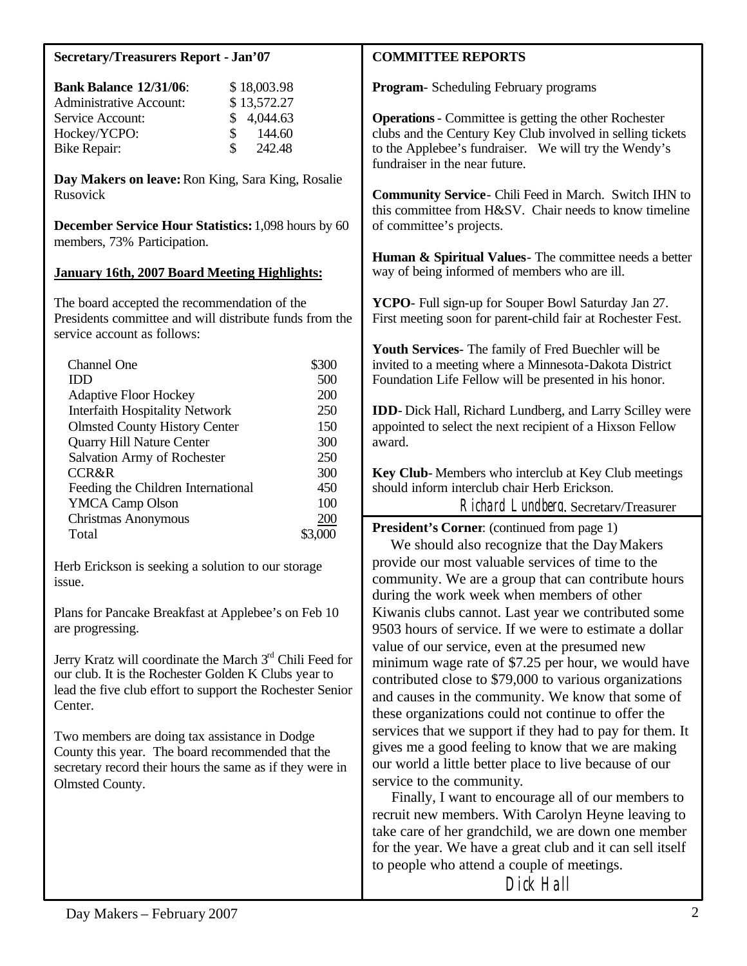### **Secretary/Treasurers Report - Jan'07**

| <b>Bank Balance 12/31/06:</b>  | \$18,003.98             |
|--------------------------------|-------------------------|
| <b>Administrative Account:</b> | \$13,572.27             |
| Service Account:               | \$4,044.63              |
| Hockey/YCPO:                   | 144.60<br>$\mathcal{S}$ |
| <b>Bike Repair:</b>            | 242.48<br>S.            |

**Day Makers on leave:** Ron King, Sara King, Rosalie Rusovick

**December Service Hour Statistics:** 1,098 hours by 60 members, 73% Participation.

#### **January 16th, 2007 Board Meeting Highlights:**

The board accepted the recommendation of the Presidents committee and will distribute funds from the service account as follows:

| Channel One                           | \$300 |
|---------------------------------------|-------|
| IDD                                   | 500   |
| <b>Adaptive Floor Hockey</b>          | 200   |
| <b>Interfaith Hospitality Network</b> | 250   |
| <b>Olmsted County History Center</b>  | 150   |
| Quarry Hill Nature Center             | 300   |
| Salvation Army of Rochester           | 250   |
| CCR&R                                 | 300   |
| Feeding the Children International    | 450   |
| <b>YMCA Camp Olson</b>                | 100   |
| Christmas Anonymous                   | 200   |
| Total                                 |       |

Herb Erickson is seeking a solution to our storage issue.

Plans for Pancake Breakfast at Applebee's on Feb 10 are progressing.

Jerry Kratz will coordinate the March  $3<sup>rd</sup>$  Chili Feed for our club. It is the Rochester Golden K Clubs year to lead the five club effort to support the Rochester Senior Center.

Two members are doing tax assistance in Dodge County this year. The board recommended that the secretary record their hours the same as if they were in Olmsted County.

### **COMMITTEE REPORTS**

**Program**- Scheduling February programs

**Operations**- Committee is getting the other Rochester clubs and the Century Key Club involved in selling tickets to the Applebee's fundraiser. We will try the Wendy's fundraiser in the near future.

**Community Service**- Chili Feed in March. Switch IHN to this committee from H&SV. Chair needs to know timeline of committee's projects.

**Human & Spiritual Values**- The committee needs a better way of being informed of members who are ill.

**YCPO**- Full sign-up for Souper Bowl Saturday Jan 27. First meeting soon for parent-child fair at Rochester Fest.

**Youth Services**- The family of Fred Buechler will be invited to a meeting where a Minnesota-Dakota District Foundation Life Fellow will be presented in his honor.

**IDD**- Dick Hall, Richard Lundberg, and Larry Scilley were appointed to select the next recipient of a Hixson Fellow award.

**Key Club**- Members who interclub at Key Club meetings should inform interclub chair Herb Erickson.

Richard Lundberg, Secretary/Treasurer

**President's Corner**: (continued from page 1)

We should also recognize that the Day Makers provide our most valuable services of time to the community. We are a group that can contribute hours during the work week when members of other Kiwanis clubs cannot. Last year we contributed some 9503 hours of service. If we were to estimate a dollar value of our service, even at the presumed new minimum wage rate of \$7.25 per hour, we would have contributed close to \$79,000 to various organizations and causes in the community. We know that some of these organizations could not continue to offer the services that we support if they had to pay for them. It gives me a good feeling to know that we are making our world a little better place to live because of our service to the community.

 Finally, I want to encourage all of our members to recruit new members. With Carolyn Heyne leaving to take care of her grandchild, we are down one member for the year. We have a great club and it can sell itself to people who attend a couple of meetings.

Dick Hall